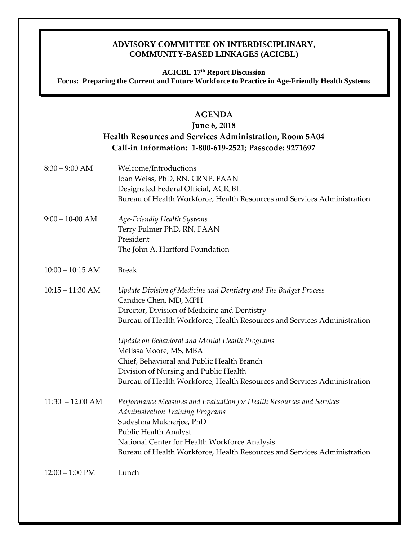## **ADVISORY COMMITTEE ON INTERDISCIPLINARY, COMMUNITY-BASED LINKAGES (ACICBL)**

### **ACICBL 17th Report Discussion Focus: Preparing the Current and Future Workforce to Practice in Age-Friendly Health Systems**

## **AGENDA**

# **June 6, 2018 Health Resources and Services Administration, Room 5A04 Call-in Information: 1-800-619-2521; Passcode: 9271697**

8:30 – 9:00 AM Welcome/Introductions Joan Weiss, PhD, RN, CRNP, FAAN Designated Federal Official, ACICBL Bureau of Health Workforce, Health Resources and Services Administration 9:00 – 10-00 AM *Age-Friendly Health Systems* Terry Fulmer PhD, RN, FAAN President The John A. Hartford Foundation 10:00 – 10:15 AM Break 10:15 – 11:30 AM *Update Division of Medicine and Dentistry and The Budget Process* Candice Chen, MD, MPH Director, Division of Medicine and Dentistry Bureau of Health Workforce, Health Resources and Services Administration *Update on Behavioral and Mental Health Programs* Melissa Moore, MS, MBA Chief, Behavioral and Public Health Branch Division of Nursing and Public Health Bureau of Health Workforce, Health Resources and Services Administration 11:30 – 12:00 AM *Performance Measures and Evaluation for Health Resources and Services Administration Training Programs* Sudeshna Mukherjee, PhD Public Health Analyst National Center for Health Workforce Analysis Bureau of Health Workforce, Health Resources and Services Administration 12:00 – 1:00 PM Lunch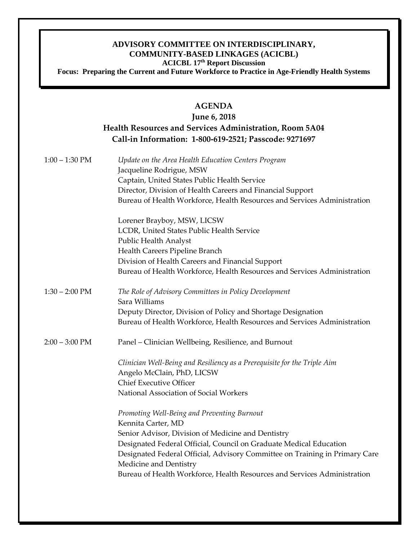## **ADVISORY COMMITTEE ON INTERDISCIPLINARY, COMMUNITY-BASED LINKAGES (ACICBL) ACICBL 17th Report Discussion**

**Focus: Preparing the Current and Future Workforce to Practice in Age-Friendly Health Systems** 

## **AGENDA**

# **June 6, 2018 Health Resources and Services Administration, Room 5A04 Call-in Information: 1-800-619-2521; Passcode: 9271697**

| $1:00 - 1:30$ PM         | Update on the Area Health Education Centers Program<br>Jacqueline Rodrigue, MSW<br>Captain, United States Public Health Service<br>Director, Division of Health Careers and Financial Support<br>Bureau of Health Workforce, Health Resources and Services Administration |
|--------------------------|---------------------------------------------------------------------------------------------------------------------------------------------------------------------------------------------------------------------------------------------------------------------------|
|                          | Lorener Brayboy, MSW, LICSW                                                                                                                                                                                                                                               |
|                          | LCDR, United States Public Health Service                                                                                                                                                                                                                                 |
|                          | Public Health Analyst<br>Health Careers Pipeline Branch                                                                                                                                                                                                                   |
|                          | Division of Health Careers and Financial Support                                                                                                                                                                                                                          |
|                          | Bureau of Health Workforce, Health Resources and Services Administration                                                                                                                                                                                                  |
| $1:30 - 2:00 \text{ PM}$ | The Role of Advisory Committees in Policy Development<br>Sara Williams                                                                                                                                                                                                    |
|                          | Deputy Director, Division of Policy and Shortage Designation                                                                                                                                                                                                              |
|                          | Bureau of Health Workforce, Health Resources and Services Administration                                                                                                                                                                                                  |
| $2:00 - 3:00 \text{ PM}$ | Panel – Clinician Wellbeing, Resilience, and Burnout                                                                                                                                                                                                                      |
|                          | Clinician Well-Being and Resiliency as a Prerequisite for the Triple Aim<br>Angelo McClain, PhD, LICSW                                                                                                                                                                    |
|                          | <b>Chief Executive Officer</b>                                                                                                                                                                                                                                            |
|                          | National Association of Social Workers                                                                                                                                                                                                                                    |
|                          | Promoting Well-Being and Preventing Burnout<br>Kennita Carter, MD                                                                                                                                                                                                         |
|                          | Senior Advisor, Division of Medicine and Dentistry                                                                                                                                                                                                                        |
|                          | Designated Federal Official, Council on Graduate Medical Education                                                                                                                                                                                                        |
|                          | Designated Federal Official, Advisory Committee on Training in Primary Care<br>Medicine and Dentistry                                                                                                                                                                     |
|                          | Bureau of Health Workforce, Health Resources and Services Administration                                                                                                                                                                                                  |
|                          |                                                                                                                                                                                                                                                                           |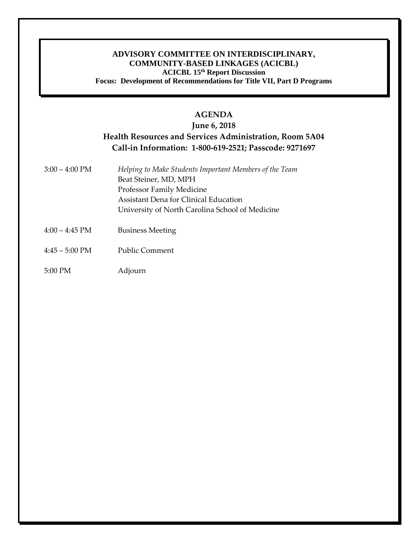#### **ADVISORY COMMITTEE ON INTERDISCIPLINARY, COMMUNITY-BASED LINKAGES (ACICBL) ACICBL 15th Report Discussion Focus: Development of Recommendations for Title VII, Part D Programs**

# **AGENDA**

# **June 6, 2018 Health Resources and Services Administration, Room 5A04 Call-in Information: 1-800-619-2521; Passcode: 9271697**

- 3:00 4:00 PM *Helping to Make Students Important Members of the Team* Beat Steiner, MD, MPH Professor Family Medicine Assistant Dena for Clinical Education University of North Carolina School of Medicine 4:00 – 4:45 PM Business Meeting
- 
- 4:45 5:00 PM Public Comment
- 5:00 PM Adjourn